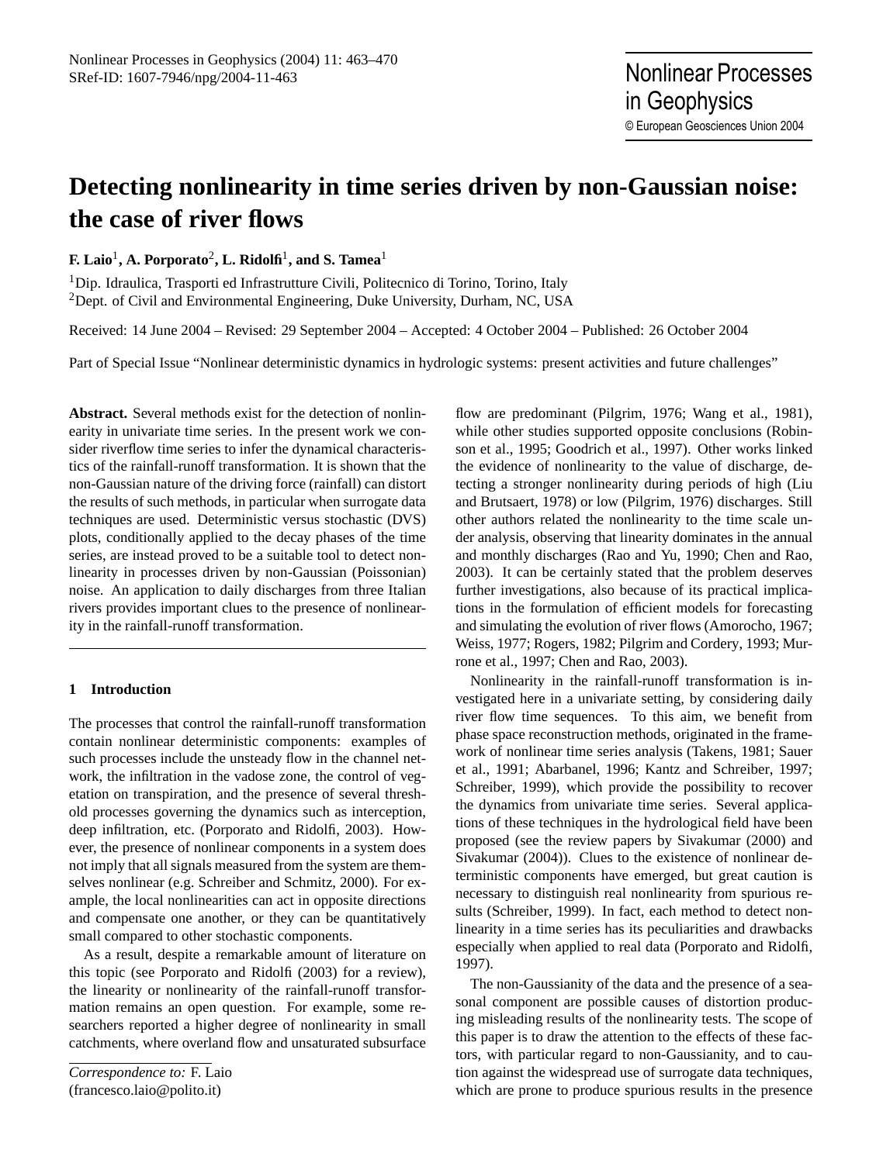in Geophysics

© European Geosciences Union 2004

# **Detecting nonlinearity in time series driven by non-Gaussian noise: the case of river flows**

**F. Laio**<sup>1</sup> **, A. Porporato**<sup>2</sup> **, L. Ridolfi**<sup>1</sup> **, and S. Tamea**<sup>1</sup>

<sup>1</sup>Dip. Idraulica, Trasporti ed Infrastrutture Civili, Politecnico di Torino, Torino, Italy <sup>2</sup>Dept. of Civil and Environmental Engineering, Duke University, Durham, NC, USA

Received: 14 June 2004 – Revised: 29 September 2004 – Accepted: 4 October 2004 – Published: 26 October 2004

Part of Special Issue "Nonlinear deterministic dynamics in hydrologic systems: present activities and future challenges"

**Abstract.** Several methods exist for the detection of nonlinearity in univariate time series. In the present work we consider riverflow time series to infer the dynamical characteristics of the rainfall-runoff transformation. It is shown that the non-Gaussian nature of the driving force (rainfall) can distort the results of such methods, in particular when surrogate data techniques are used. Deterministic versus stochastic (DVS) plots, conditionally applied to the decay phases of the time series, are instead proved to be a suitable tool to detect nonlinearity in processes driven by non-Gaussian (Poissonian) noise. An application to daily discharges from three Italian rivers provides important clues to the presence of nonlinearity in the rainfall-runoff transformation.

## **1 Introduction**

The processes that control the rainfall-runoff transformation contain nonlinear deterministic components: examples of such processes include the unsteady flow in the channel network, the infiltration in the vadose zone, the control of vegetation on transpiration, and the presence of several threshold processes governing the dynamics such as interception, deep infiltration, etc. [\(Porporato and Ridolfi,](#page-6-0) [2003\)](#page-6-0). However, the presence of nonlinear components in a system does not imply that all signals measured from the system are themselves nonlinear (e.g. [Schreiber and Schmitz,](#page-7-0) [2000\)](#page-7-0). For example, the local nonlinearities can act in opposite directions and compensate one another, or they can be quantitatively small compared to other stochastic components.

As a result, despite a remarkable amount of literature on this topic (see [Porporato and Ridolfi](#page-6-0) [\(2003\)](#page-6-0) for a review), the linearity or nonlinearity of the rainfall-runoff transformation remains an open question. For example, some researchers reported a higher degree of nonlinearity in small catchments, where overland flow and unsaturated subsurface

flow are predominant [\(Pilgrim,](#page-6-1) [1976;](#page-6-1) [Wang et al.,](#page-7-1) [1981\)](#page-7-1), while other studies supported opposite conclusions [\(Robin](#page-6-2)[son et al.,](#page-6-2) [1995;](#page-6-2) [Goodrich et al.,](#page-6-3) [1997\)](#page-6-3). Other works linked the evidence of nonlinearity to the value of discharge, detecting a stronger nonlinearity during periods of high [\(Liu](#page-6-4) [and Brutsaert,](#page-6-4) [1978\)](#page-6-4) or low [\(Pilgrim,](#page-6-1) [1976\)](#page-6-1) discharges. Still other authors related the nonlinearity to the time scale under analysis, observing that linearity dominates in the annual and monthly discharges [\(Rao and Yu,](#page-6-5) [1990;](#page-6-5) [Chen and Rao,](#page-6-6) [2003\)](#page-6-6). It can be certainly stated that the problem deserves further investigations, also because of its practical implications in the formulation of efficient models for forecasting and simulating the evolution of river flows [\(Amorocho,](#page-6-7) [1967;](#page-6-7) [Weiss,](#page-7-2) [1977;](#page-7-2) [Rogers,](#page-6-8) [1982;](#page-6-8) [Pilgrim and Cordery,](#page-6-9) [1993;](#page-6-9) [Mur](#page-6-10)[rone et al.,](#page-6-10) [1997;](#page-6-10) [Chen and Rao,](#page-6-6) [2003\)](#page-6-6).

Nonlinearity in the rainfall-runoff transformation is investigated here in a univariate setting, by considering daily river flow time sequences. To this aim, we benefit from phase space reconstruction methods, originated in the framework of nonlinear time series analysis [\(Takens,](#page-7-3) [1981;](#page-7-3) [Sauer](#page-7-4) [et al.,](#page-7-4) [1991;](#page-7-4) [Abarbanel,](#page-6-11) [1996;](#page-6-11) [Kantz and Schreiber,](#page-6-12) [1997;](#page-6-12) [Schreiber,](#page-7-5) [1999\)](#page-7-5), which provide the possibility to recover the dynamics from univariate time series. Several applications of these techniques in the hydrological field have been proposed (see the review papers by [Sivakumar](#page-7-6) [\(2000\)](#page-7-6) and [Sivakumar](#page-7-7) [\(2004\)](#page-7-7)). Clues to the existence of nonlinear deterministic components have emerged, but great caution is necessary to distinguish real nonlinearity from spurious results [\(Schreiber,](#page-7-5) [1999\)](#page-7-5). In fact, each method to detect nonlinearity in a time series has its peculiarities and drawbacks especially when applied to real data [\(Porporato and Ridolfi,](#page-6-13) [1997\)](#page-6-13).

The non-Gaussianity of the data and the presence of a seasonal component are possible causes of distortion producing misleading results of the nonlinearity tests. The scope of this paper is to draw the attention to the effects of these factors, with particular regard to non-Gaussianity, and to caution against the widespread use of surrogate data techniques, which are prone to produce spurious results in the presence

<span id="page-0-0"></span>*Correspondence to:* F. Laio (francesco.laio@polito.it)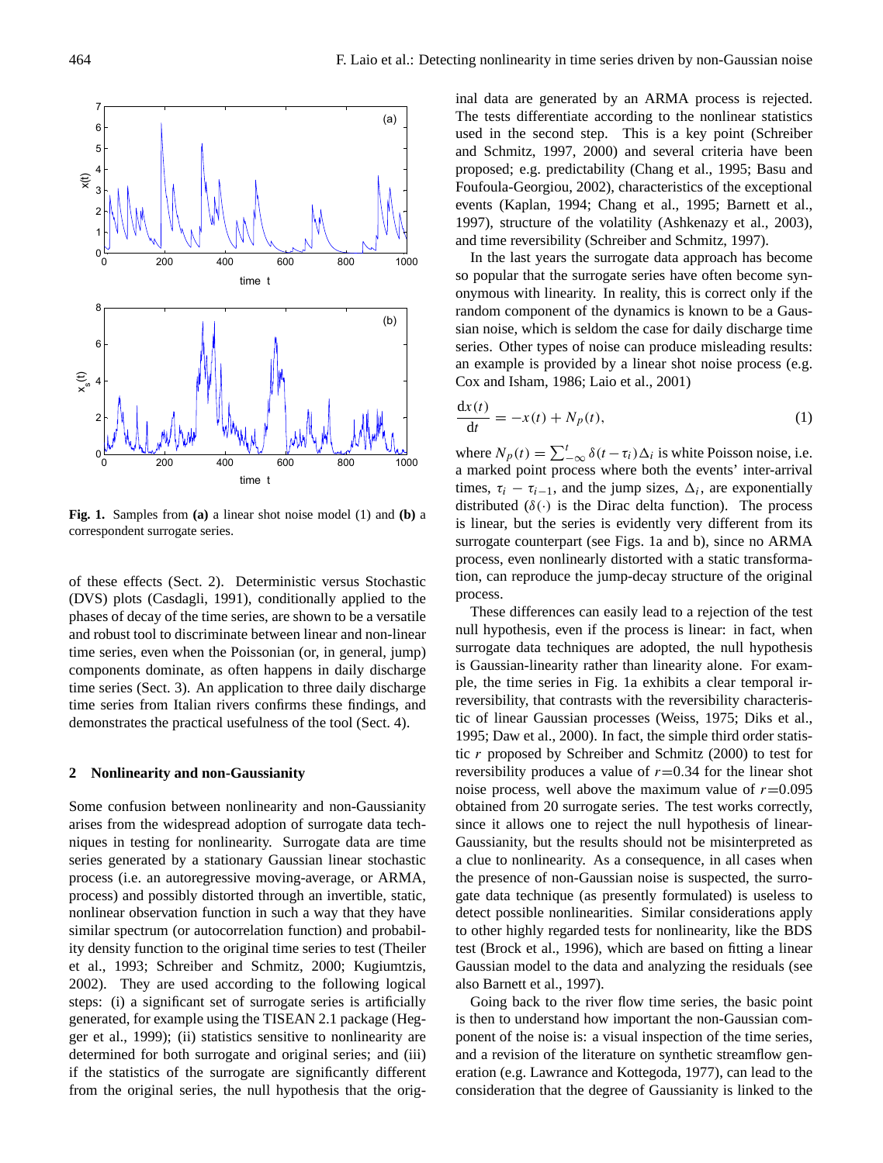

<span id="page-1-1"></span>**Fig. 1.** Samples from **(a)** a linear shot noise model [\(1\)](#page-1-0) and **(b)** a correspondent surrogate series.

of these effects (Sect. 2). Deterministic versus Stochastic (DVS) plots [\(Casdagli,](#page-6-14) [1991\)](#page-6-14), conditionally applied to the phases of decay of the time series, are shown to be a versatile and robust tool to discriminate between linear and non-linear time series, even when the Poissonian (or, in general, jump) components dominate, as often happens in daily discharge time series (Sect. 3). An application to three daily discharge time series from Italian rivers confirms these findings, and demonstrates the practical usefulness of the tool (Sect. 4).

#### **2 Nonlinearity and non-Gaussianity**

Some confusion between nonlinearity and non-Gaussianity arises from the widespread adoption of surrogate data techniques in testing for nonlinearity. Surrogate data are time series generated by a stationary Gaussian linear stochastic process (i.e. an autoregressive moving-average, or ARMA, process) and possibly distorted through an invertible, static, nonlinear observation function in such a way that they have similar spectrum (or autocorrelation function) and probability density function to the original time series to test [\(Theiler](#page-7-8) [et al.,](#page-7-8) [1993;](#page-7-8) [Schreiber and Schmitz,](#page-7-0) [2000;](#page-7-0) [Kugiumtzis,](#page-6-15) [2002\)](#page-6-15). They are used according to the following logical steps: (i) a significant set of surrogate series is artificially generated, for example using the TISEAN 2.1 package [\(Heg](#page-6-16)[ger et al.,](#page-6-16) [1999\)](#page-6-16); (ii) statistics sensitive to nonlinearity are determined for both surrogate and original series; and (iii) if the statistics of the surrogate are significantly different from the original series, the null hypothesis that the original data are generated by an ARMA process is rejected. The tests differentiate according to the nonlinear statistics used in the second step. This is a key point [\(Schreiber](#page-7-9) [and Schmitz,](#page-7-9) [1997,](#page-7-9) [2000\)](#page-7-0) and several criteria have been proposed; e.g. predictability [\(Chang et al.,](#page-6-17) [1995;](#page-6-17) [Basu and](#page-6-18) [Foufoula-Georgiou,](#page-6-18) [2002\)](#page-6-18), characteristics of the exceptional events [\(Kaplan,](#page-6-19) [1994;](#page-6-19) [Chang et al.,](#page-6-17) [1995;](#page-6-17) [Barnett et al.,](#page-6-20) [1997\)](#page-6-20), structure of the volatility [\(Ashkenazy et al.,](#page-6-21) [2003\)](#page-6-21), and time reversibility [\(Schreiber and Schmitz,](#page-7-9) [1997\)](#page-7-9).

In the last years the surrogate data approach has become so popular that the surrogate series have often become synonymous with linearity. In reality, this is correct only if the random component of the dynamics is known to be a Gaussian noise, which is seldom the case for daily discharge time series. Other types of noise can produce misleading results: an example is provided by a linear shot noise process (e.g. [Cox and Isham,](#page-6-22) [1986;](#page-6-22) [Laio et al.,](#page-6-23) [2001\)](#page-6-23)

<span id="page-1-0"></span>
$$
\frac{\mathrm{d}x(t)}{\mathrm{d}t} = -x(t) + N_p(t),\tag{1}
$$

where  $N_p(t) = \sum_{-\infty}^{t} \delta(t - \tau_i) \Delta_i$  is white Poisson noise, i.e. a marked point process where both the events' inter-arrival times,  $\tau_i - \tau_{i-1}$ , and the jump sizes,  $\Delta_i$ , are exponentially distributed ( $\delta(\cdot)$  is the Dirac delta function). The process is linear, but the series is evidently very different from its surrogate counterpart (see Figs. [1a](#page-1-1) and b), since no ARMA process, even nonlinearly distorted with a static transformation, can reproduce the jump-decay structure of the original process.

These differences can easily lead to a rejection of the test null hypothesis, even if the process is linear: in fact, when surrogate data techniques are adopted, the null hypothesis is Gaussian-linearity rather than linearity alone. For example, the time series in Fig. [1a](#page-1-1) exhibits a clear temporal irreversibility, that contrasts with the reversibility characteristic of linear Gaussian processes [\(Weiss,](#page-7-10) [1975;](#page-7-10) [Diks et al.,](#page-6-24) [1995;](#page-6-24) [Daw et al.,](#page-6-25) [2000\)](#page-6-25). In fact, the simple third order statistic r proposed by [Schreiber and Schmitz](#page-7-0) [\(2000\)](#page-7-0) to test for reversibility produces a value of  $r=0.34$  for the linear shot noise process, well above the maximum value of  $r=0.095$ obtained from 20 surrogate series. The test works correctly, since it allows one to reject the null hypothesis of linear-Gaussianity, but the results should not be misinterpreted as a clue to nonlinearity. As a consequence, in all cases when the presence of non-Gaussian noise is suspected, the surrogate data technique (as presently formulated) is useless to detect possible nonlinearities. Similar considerations apply to other highly regarded tests for nonlinearity, like the BDS test [\(Brock et al.,](#page-6-26) [1996\)](#page-6-26), which are based on fitting a linear Gaussian model to the data and analyzing the residuals (see also [Barnett et al.,](#page-6-20) [1997\)](#page-6-20).

Going back to the river flow time series, the basic point is then to understand how important the non-Gaussian component of the noise is: a visual inspection of the time series, and a revision of the literature on synthetic streamflow generation (e.g. [Lawrance and Kottegoda,](#page-6-27) [1977\)](#page-6-27), can lead to the consideration that the degree of Gaussianity is linked to the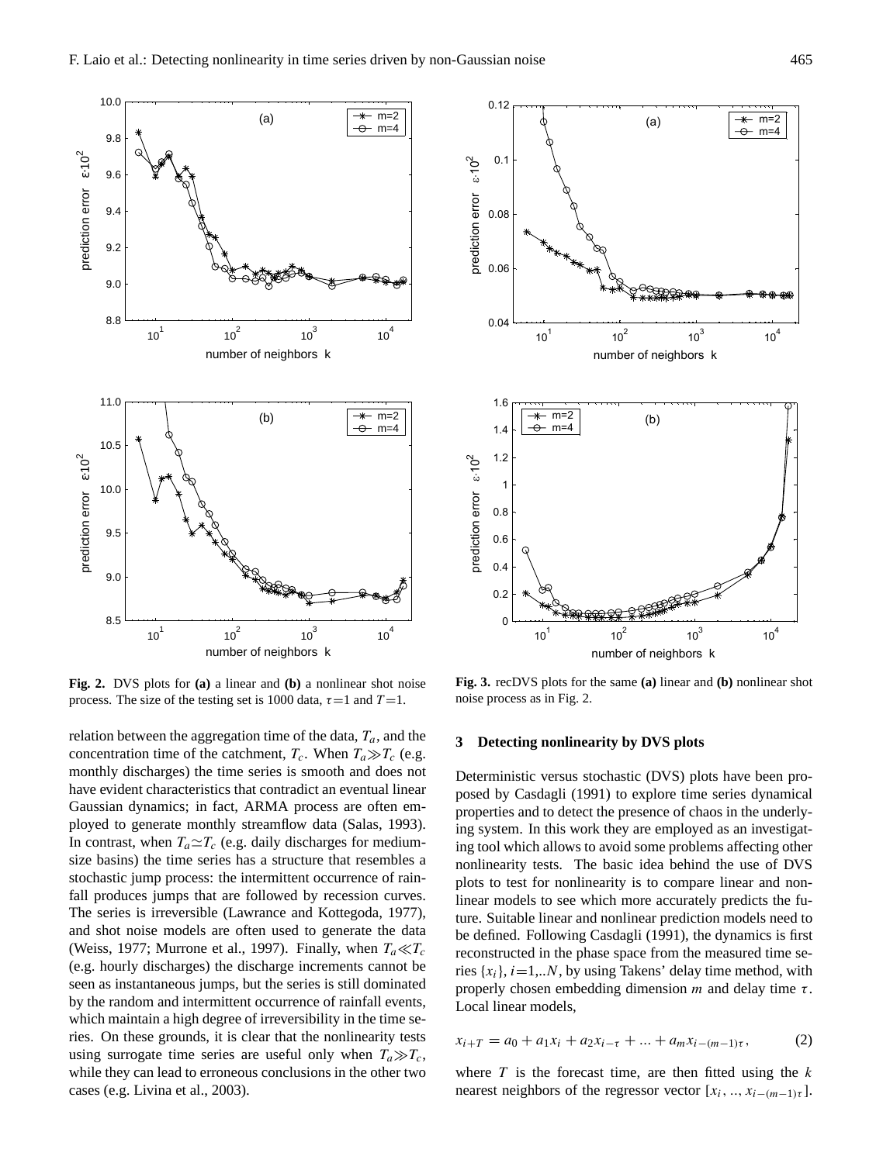

<span id="page-2-0"></span>**Fig. 2.** DVS plots for **(a)** a linear and **(b)** a nonlinear shot noise process. The size of the testing set is 1000 data,  $\tau = 1$  and  $T = 1$ .

relation between the aggregation time of the data,  $T_a$ , and the concentration time of the catchment,  $T_c$ . When  $T_a \gg T_c$  (e.g. monthly discharges) the time series is smooth and does not have evident characteristics that contradict an eventual linear Gaussian dynamics; in fact, ARMA process are often employed to generate monthly streamflow data [\(Salas,](#page-6-28) [1993\)](#page-6-28). In contrast, when  $T_a \simeq T_c$  (e.g. daily discharges for mediumsize basins) the time series has a structure that resembles a stochastic jump process: the intermittent occurrence of rainfall produces jumps that are followed by recession curves. The series is irreversible [\(Lawrance and Kottegoda,](#page-6-27) [1977\)](#page-6-27), and shot noise models are often used to generate the data [\(Weiss,](#page-7-2) [1977;](#page-7-2) [Murrone et al.,](#page-6-10) [1997\)](#page-6-10). Finally, when  $T_a \ll T_c$ (e.g. hourly discharges) the discharge increments cannot be seen as instantaneous jumps, but the series is still dominated by the random and intermittent occurrence of rainfall events, which maintain a high degree of irreversibility in the time series. On these grounds, it is clear that the nonlinearity tests using surrogate time series are useful only when  $T_a \gg T_c$ , while they can lead to erroneous conclusions in the other two cases (e.g. [Livina et al.,](#page-6-29) [2003\)](#page-6-29).



<span id="page-2-1"></span>**Fig. 3.** recDVS plots for the same **(a)** linear and **(b)** nonlinear shot noise process as in Fig. [2.](#page-2-0)

## **3 Detecting nonlinearity by DVS plots**

Deterministic versus stochastic (DVS) plots have been proposed by [Casdagli](#page-6-14) [\(1991\)](#page-6-14) to explore time series dynamical properties and to detect the presence of chaos in the underlying system. In this work they are employed as an investigating tool which allows to avoid some problems affecting other nonlinearity tests. The basic idea behind the use of DVS plots to test for nonlinearity is to compare linear and nonlinear models to see which more accurately predicts the future. Suitable linear and nonlinear prediction models need to be defined. Following [Casdagli](#page-6-14) [\(1991\)](#page-6-14), the dynamics is first reconstructed in the phase space from the measured time series  $\{x_i\}$ ,  $i=1...N$ , by using Takens' delay time method, with properly chosen embedding dimension  $m$  and delay time  $\tau$ . Local linear models,

$$
x_{i+T} = a_0 + a_1 x_i + a_2 x_{i-\tau} + \dots + a_m x_{i-(m-1)\tau},
$$
 (2)

where  $T$  is the forecast time, are then fitted using the  $k$ nearest neighbors of the regressor vector  $[x_i, ..., x_{i-(m-1)\tau}]$ .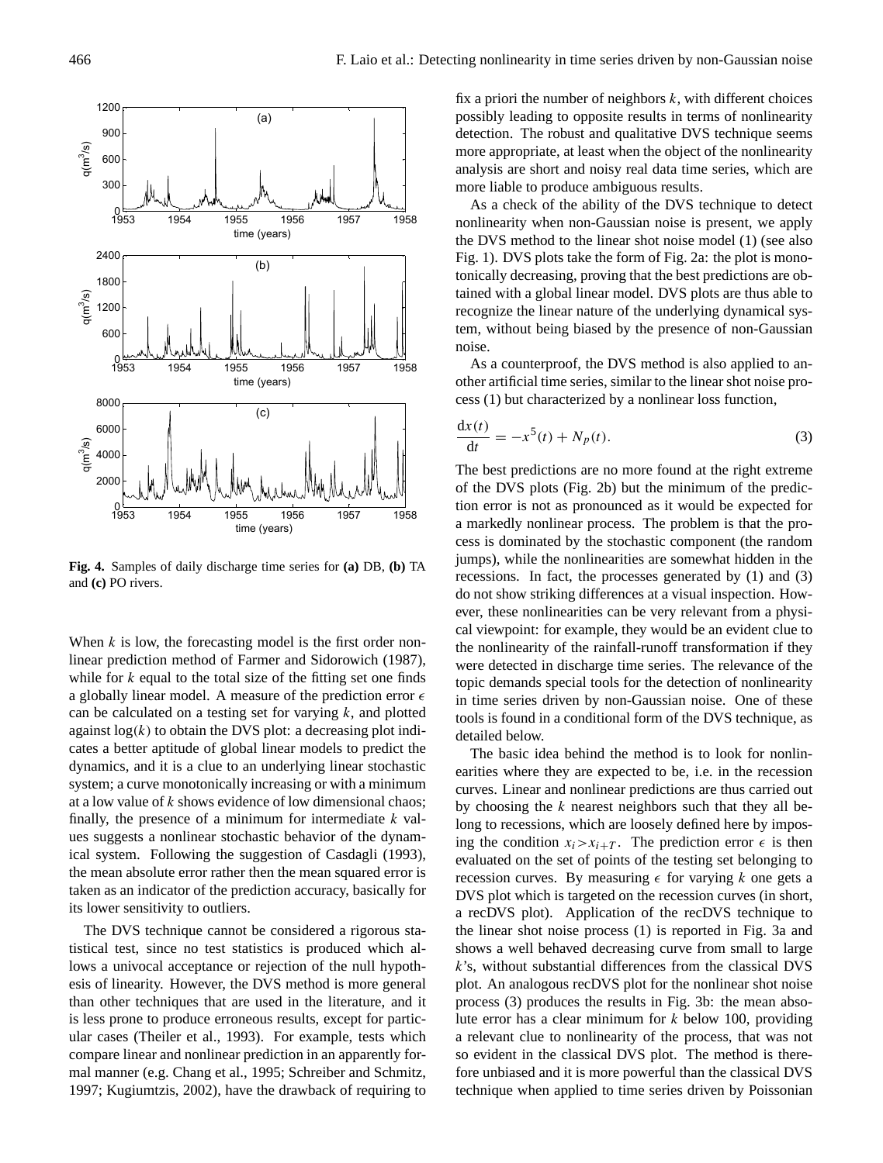

<span id="page-3-1"></span>**Fig. 4.** Samples of daily discharge time series for **(a)** DB, **(b)** TA and **(c)** PO rivers.

When  $k$  is low, the forecasting model is the first order nonlinear prediction method of [Farmer and Sidorowich](#page-6-30) [\(1987\)](#page-6-30), while for  $k$  equal to the total size of the fitting set one finds a globally linear model. A measure of the prediction error  $\epsilon$ can be calculated on a testing set for varying  $k$ , and plotted against  $log(k)$  to obtain the DVS plot: a decreasing plot indicates a better aptitude of global linear models to predict the dynamics, and it is a clue to an underlying linear stochastic system; a curve monotonically increasing or with a minimum at a low value of k shows evidence of low dimensional chaos; finally, the presence of a minimum for intermediate  $k$  values suggests a nonlinear stochastic behavior of the dynamical system. Following the suggestion of [Casdagli](#page-6-31) [\(1993\)](#page-6-31), the mean absolute error rather then the mean squared error is taken as an indicator of the prediction accuracy, basically for its lower sensitivity to outliers.

The DVS technique cannot be considered a rigorous statistical test, since no test statistics is produced which allows a univocal acceptance or rejection of the null hypothesis of linearity. However, the DVS method is more general than other techniques that are used in the literature, and it is less prone to produce erroneous results, except for particular cases [\(Theiler et al.,](#page-7-8) [1993\)](#page-7-8). For example, tests which compare linear and nonlinear prediction in an apparently formal manner (e.g. [Chang et al.,](#page-6-17) [1995;](#page-6-17) [Schreiber and Schmitz,](#page-7-9) [1997;](#page-7-9) [Kugiumtzis,](#page-6-15) [2002\)](#page-6-15), have the drawback of requiring to fix a priori the number of neighbors  $k$ , with different choices possibly leading to opposite results in terms of nonlinearity detection. The robust and qualitative DVS technique seems more appropriate, at least when the object of the nonlinearity analysis are short and noisy real data time series, which are more liable to produce ambiguous results.

As a check of the ability of the DVS technique to detect nonlinearity when non-Gaussian noise is present, we apply the DVS method to the linear shot noise model [\(1\)](#page-1-0) (see also Fig. [1\)](#page-1-1). DVS plots take the form of Fig. [2a](#page-2-0): the plot is monotonically decreasing, proving that the best predictions are obtained with a global linear model. DVS plots are thus able to recognize the linear nature of the underlying dynamical system, without being biased by the presence of non-Gaussian noise.

As a counterproof, the DVS method is also applied to another artificial time series, similar to the linear shot noise process [\(1\)](#page-1-0) but characterized by a nonlinear loss function,

<span id="page-3-0"></span>
$$
\frac{\mathrm{d}x(t)}{\mathrm{d}t} = -x^5(t) + N_p(t). \tag{3}
$$

The best predictions are no more found at the right extreme of the DVS plots (Fig. [2b](#page-2-0)) but the minimum of the prediction error is not as pronounced as it would be expected for a markedly nonlinear process. The problem is that the process is dominated by the stochastic component (the random jumps), while the nonlinearities are somewhat hidden in the recessions. In fact, the processes generated by [\(1\)](#page-1-0) and [\(3\)](#page-3-0) do not show striking differences at a visual inspection. However, these nonlinearities can be very relevant from a physical viewpoint: for example, they would be an evident clue to the nonlinearity of the rainfall-runoff transformation if they were detected in discharge time series. The relevance of the topic demands special tools for the detection of nonlinearity in time series driven by non-Gaussian noise. One of these tools is found in a conditional form of the DVS technique, as detailed below.

The basic idea behind the method is to look for nonlinearities where they are expected to be, i.e. in the recession curves. Linear and nonlinear predictions are thus carried out by choosing the  $k$  nearest neighbors such that they all belong to recessions, which are loosely defined here by imposing the condition  $x_i > x_{i+T}$ . The prediction error  $\epsilon$  is then evaluated on the set of points of the testing set belonging to recession curves. By measuring  $\epsilon$  for varying k one gets a DVS plot which is targeted on the recession curves (in short, a recDVS plot). Application of the recDVS technique to the linear shot noise process [\(1\)](#page-1-0) is reported in Fig. [3a](#page-2-1) and shows a well behaved decreasing curve from small to large  $k$ 's, without substantial differences from the classical DVS plot. An analogous recDVS plot for the nonlinear shot noise process [\(3\)](#page-3-0) produces the results in Fig. [3b](#page-2-1): the mean absolute error has a clear minimum for  $k$  below 100, providing a relevant clue to nonlinearity of the process, that was not so evident in the classical DVS plot. The method is therefore unbiased and it is more powerful than the classical DVS technique when applied to time series driven by Poissonian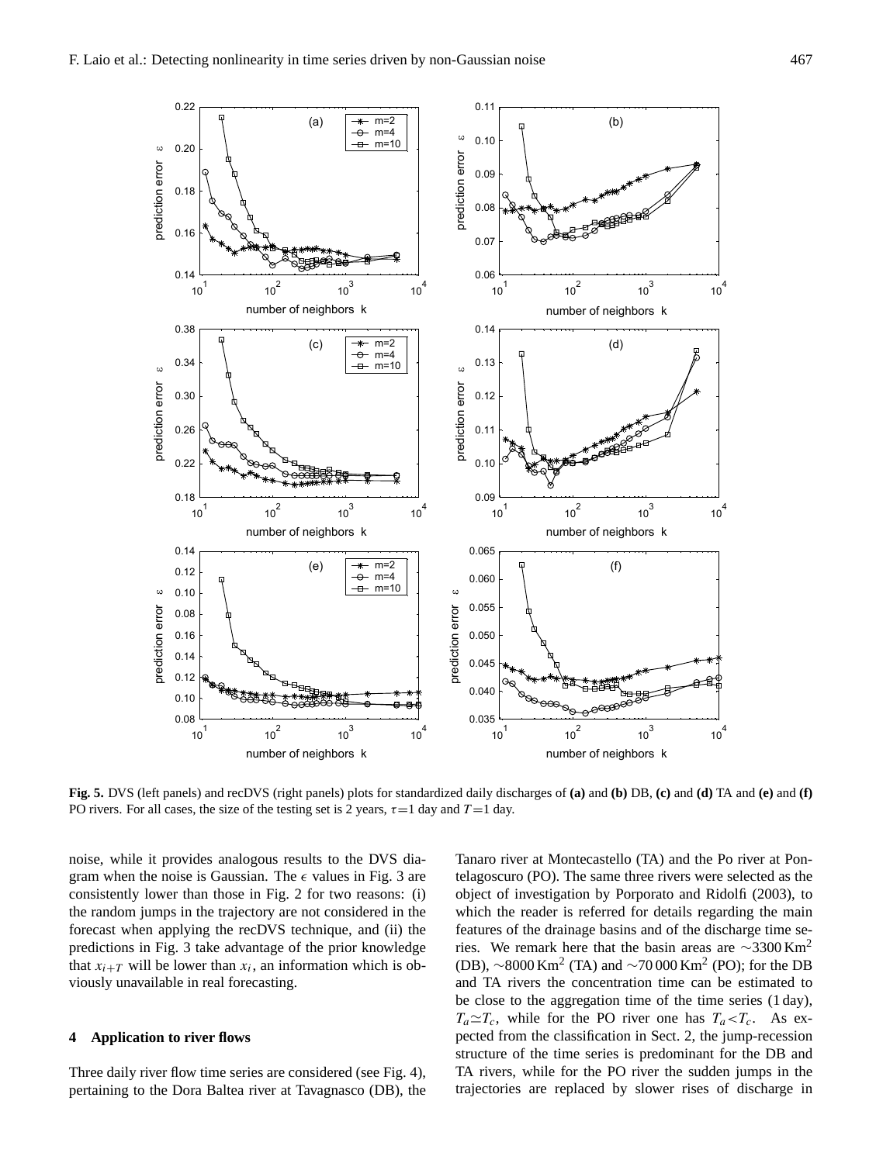

<span id="page-4-0"></span>**Fig. 5.** DVS (left panels) and recDVS (right panels) plots for standardized daily discharges of **(a)** and **(b)** DB, **(c)** and **(d)** TA and **(e)** and **(f)** PO rivers. For all cases, the size of the testing set is 2 years,  $\tau = 1$  day and  $T = 1$  day.

noise, while it provides analogous results to the DVS diagram when the noise is Gaussian. The  $\epsilon$  values in Fig. [3](#page-2-1) are consistently lower than those in Fig. [2](#page-2-0) for two reasons: (i) the random jumps in the trajectory are not considered in the forecast when applying the recDVS technique, and (ii) the predictions in Fig. [3](#page-2-1) take advantage of the prior knowledge that  $x_{i+T}$  will be lower than  $x_i$ , an information which is obviously unavailable in real forecasting.

### **4 Application to river flows**

Three daily river flow time series are considered (see Fig. [4\)](#page-3-1), pertaining to the Dora Baltea river at Tavagnasco (DB), the Tanaro river at Montecastello (TA) and the Po river at Pontelagoscuro (PO). The same three rivers were selected as the object of investigation by [Porporato and Ridolfi](#page-6-0) [\(2003\)](#page-6-0), to which the reader is referred for details regarding the main features of the drainage basins and of the discharge time series. We remark here that the basin areas are  $\sim$ 3300 Km<sup>2</sup> (DB),  $\sim$ 8000 Km<sup>2</sup> (TA) and  $\sim$ 70 000 Km<sup>2</sup> (PO); for the DB and TA rivers the concentration time can be estimated to be close to the aggregation time of the time series (1 day),  $T_a \simeq T_c$ , while for the PO river one has  $T_a < T_c$ . As expected from the classification in Sect. 2, the jump-recession structure of the time series is predominant for the DB and TA rivers, while for the PO river the sudden jumps in the trajectories are replaced by slower rises of discharge in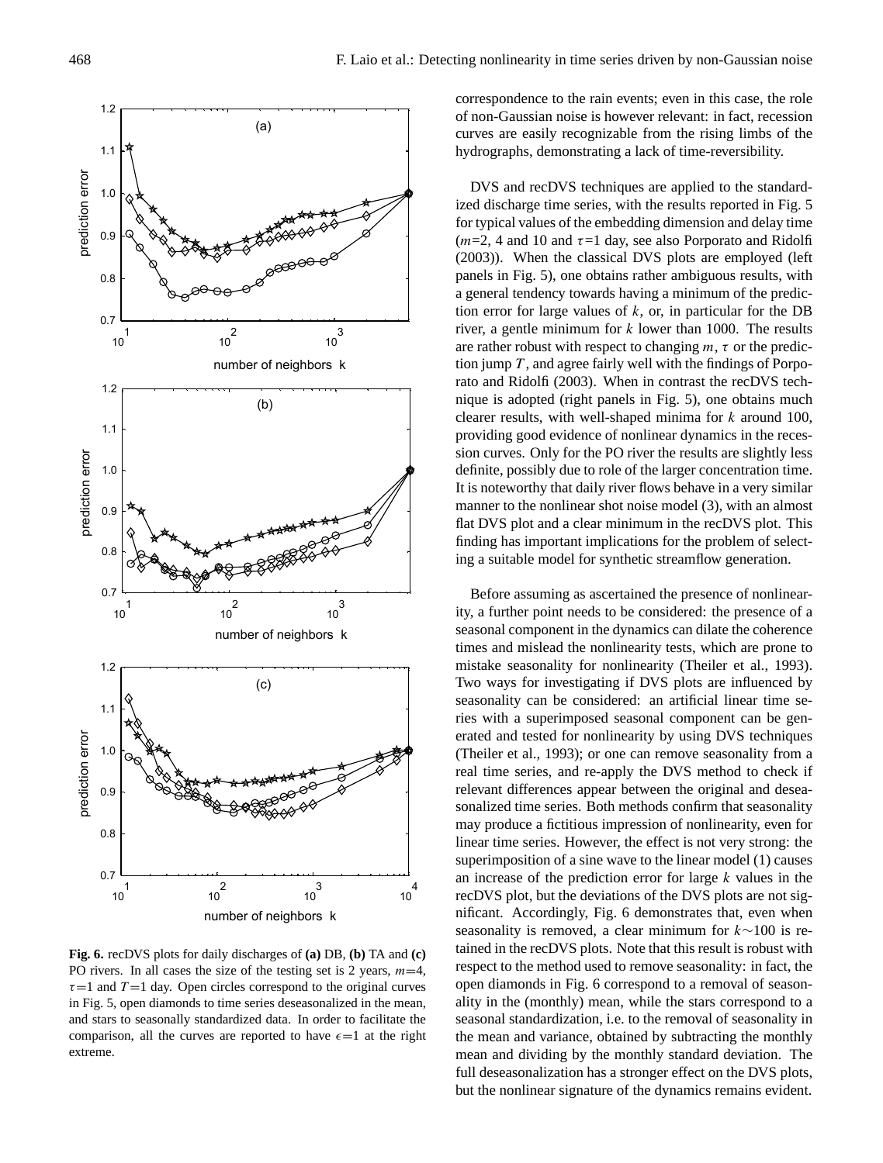

<span id="page-5-0"></span>**Fig. 6.** recDVS plots for daily discharges of **(a)** DB, **(b)** TA and **(c)** PO rivers. In all cases the size of the testing set is 2 years,  $m=4$ ,  $\tau=1$  and  $T=1$  day. Open circles correspond to the original curves in Fig. [5,](#page-4-0) open diamonds to time series deseasonalized in the mean, and stars to seasonally standardized data. In order to facilitate the comparison, all the curves are reported to have  $\epsilon = 1$  at the right extreme.

correspondence to the rain events; even in this case, the role of non-Gaussian noise is however relevant: in fact, recession curves are easily recognizable from the rising limbs of the hydrographs, demonstrating a lack of time-reversibility.

DVS and recDVS techniques are applied to the standardized discharge time series, with the results reported in Fig. [5](#page-4-0) for typical values of the embedding dimension and delay time  $(m=2, 4$  and 10 and  $\tau=1$  day, see also [Porporato and Ridolfi](#page-6-0) [\(2003\)](#page-6-0)). When the classical DVS plots are employed (left panels in Fig. [5\)](#page-4-0), one obtains rather ambiguous results, with a general tendency towards having a minimum of the prediction error for large values of  $k$ , or, in particular for the DB river, a gentle minimum for  $k$  lower than 1000. The results are rather robust with respect to changing  $m, \tau$  or the prediction jump  $T$ , and agree fairly well with the findings of [Porpo](#page-6-0)[rato and Ridolfi](#page-6-0) [\(2003\)](#page-6-0). When in contrast the recDVS technique is adopted (right panels in Fig. [5\)](#page-4-0), one obtains much clearer results, with well-shaped minima for  $k$  around 100, providing good evidence of nonlinear dynamics in the recession curves. Only for the PO river the results are slightly less definite, possibly due to role of the larger concentration time. It is noteworthy that daily river flows behave in a very similar manner to the nonlinear shot noise model [\(3\)](#page-3-0), with an almost flat DVS plot and a clear minimum in the recDVS plot. This finding has important implications for the problem of selecting a suitable model for synthetic streamflow generation.

Before assuming as ascertained the presence of nonlinearity, a further point needs to be considered: the presence of a seasonal component in the dynamics can dilate the coherence times and mislead the nonlinearity tests, which are prone to mistake seasonality for nonlinearity [\(Theiler et al.,](#page-7-8) [1993\)](#page-7-8). Two ways for investigating if DVS plots are influenced by seasonality can be considered: an artificial linear time series with a superimposed seasonal component can be generated and tested for nonlinearity by using DVS techniques [\(Theiler et al.,](#page-7-8) [1993\)](#page-7-8); or one can remove seasonality from a real time series, and re-apply the DVS method to check if relevant differences appear between the original and deseasonalized time series. Both methods confirm that seasonality may produce a fictitious impression of nonlinearity, even for linear time series. However, the effect is not very strong: the superimposition of a sine wave to the linear model [\(1\)](#page-1-0) causes an increase of the prediction error for large  $k$  values in the recDVS plot, but the deviations of the DVS plots are not significant. Accordingly, Fig. [6](#page-5-0) demonstrates that, even when seasonality is removed, a clear minimum for k∼100 is retained in the recDVS plots. Note that this result is robust with respect to the method used to remove seasonality: in fact, the open diamonds in Fig. [6](#page-5-0) correspond to a removal of seasonality in the (monthly) mean, while the stars correspond to a seasonal standardization, i.e. to the removal of seasonality in the mean and variance, obtained by subtracting the monthly mean and dividing by the monthly standard deviation. The full deseasonalization has a stronger effect on the DVS plots, but the nonlinear signature of the dynamics remains evident.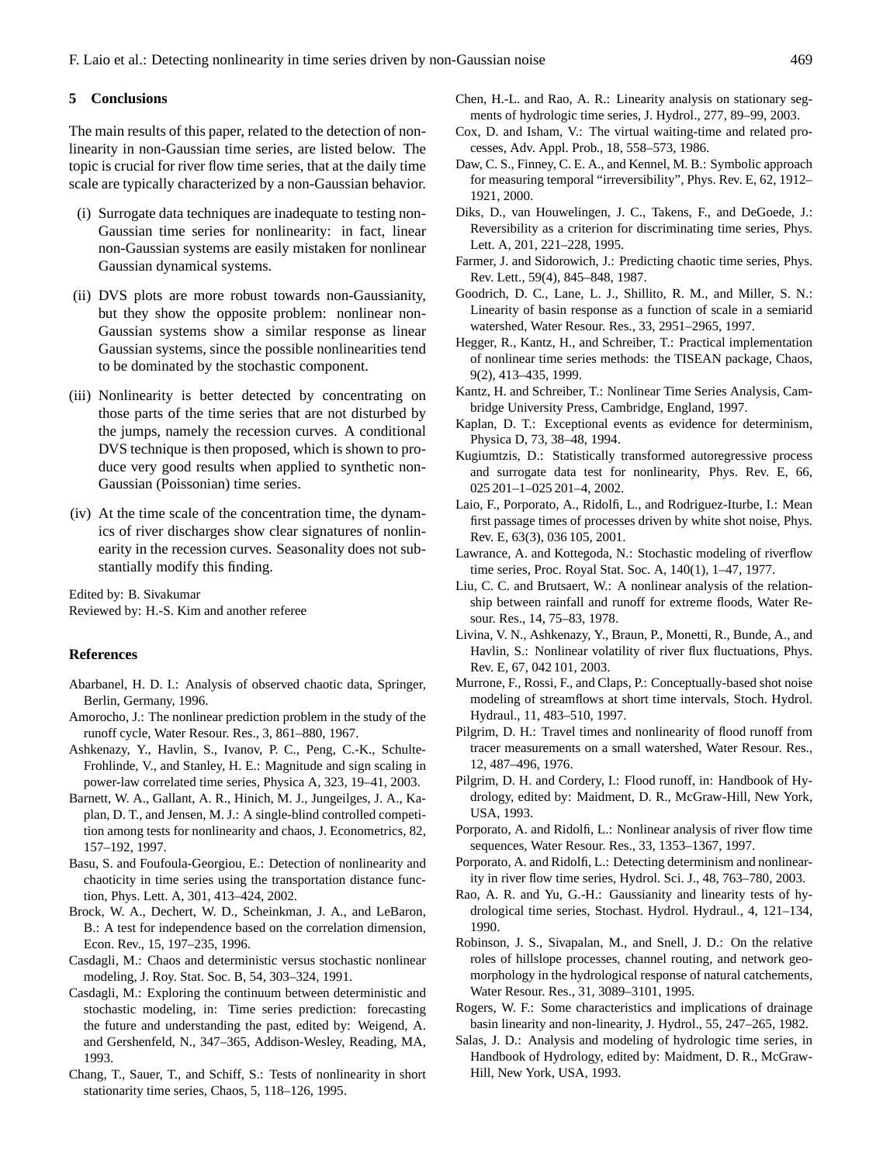## **5 Conclusions**

The main results of this paper, related to the detection of nonlinearity in non-Gaussian time series, are listed below. The topic is crucial for river flow time series, that at the daily time scale are typically characterized by a non-Gaussian behavior.

- (i) Surrogate data techniques are inadequate to testing non-Gaussian time series for nonlinearity: in fact, linear non-Gaussian systems are easily mistaken for nonlinear Gaussian dynamical systems.
- (ii) DVS plots are more robust towards non-Gaussianity, but they show the opposite problem: nonlinear non-Gaussian systems show a similar response as linear Gaussian systems, since the possible nonlinearities tend to be dominated by the stochastic component.
- (iii) Nonlinearity is better detected by concentrating on those parts of the time series that are not disturbed by the jumps, namely the recession curves. A conditional DVS technique is then proposed, which is shown to produce very good results when applied to synthetic non-Gaussian (Poissonian) time series.
- (iv) At the time scale of the concentration time, the dynamics of river discharges show clear signatures of nonlinearity in the recession curves. Seasonality does not substantially modify this finding.

Edited by: B. Sivakumar Reviewed by: H.-S. Kim and another referee

## **References**

- <span id="page-6-11"></span>Abarbanel, H. D. I.: Analysis of observed chaotic data, Springer, Berlin, Germany, 1996.
- <span id="page-6-7"></span>Amorocho, J.: The nonlinear prediction problem in the study of the runoff cycle, Water Resour. Res., 3, 861–880, 1967.
- <span id="page-6-21"></span>Ashkenazy, Y., Havlin, S., Ivanov, P. C., Peng, C.-K., Schulte-Frohlinde, V., and Stanley, H. E.: Magnitude and sign scaling in power-law correlated time series, Physica A, 323, 19–41, 2003.
- <span id="page-6-20"></span>Barnett, W. A., Gallant, A. R., Hinich, M. J., Jungeilges, J. A., Kaplan, D. T., and Jensen, M. J.: A single-blind controlled competition among tests for nonlinearity and chaos, J. Econometrics, 82, 157–192, 1997.
- <span id="page-6-18"></span>Basu, S. and Foufoula-Georgiou, E.: Detection of nonlinearity and chaoticity in time series using the transportation distance function, Phys. Lett. A, 301, 413–424, 2002.
- <span id="page-6-26"></span>Brock, W. A., Dechert, W. D., Scheinkman, J. A., and LeBaron, B.: A test for independence based on the correlation dimension, Econ. Rev., 15, 197–235, 1996.
- <span id="page-6-14"></span>Casdagli, M.: Chaos and deterministic versus stochastic nonlinear modeling, J. Roy. Stat. Soc. B, 54, 303–324, 1991.
- <span id="page-6-31"></span>Casdagli, M.: Exploring the continuum between deterministic and stochastic modeling, in: Time series prediction: forecasting the future and understanding the past, edited by: Weigend, A. and Gershenfeld, N., 347–365, Addison-Wesley, Reading, MA, 1993.
- <span id="page-6-17"></span>Chang, T., Sauer, T., and Schiff, S.: Tests of nonlinearity in short stationarity time series, Chaos, 5, 118–126, 1995.
- <span id="page-6-6"></span>Chen, H.-L. and Rao, A. R.: Linearity analysis on stationary segments of hydrologic time series, J. Hydrol., 277, 89–99, 2003.
- <span id="page-6-22"></span>Cox, D. and Isham, V.: The virtual waiting-time and related processes, Adv. Appl. Prob., 18, 558–573, 1986.
- <span id="page-6-25"></span>Daw, C. S., Finney, C. E. A., and Kennel, M. B.: Symbolic approach for measuring temporal "irreversibility", Phys. Rev. E, 62, 1912– 1921, 2000.
- <span id="page-6-24"></span>Diks, D., van Houwelingen, J. C., Takens, F., and DeGoede, J.: Reversibility as a criterion for discriminating time series, Phys. Lett. A, 201, 221–228, 1995.
- <span id="page-6-30"></span>Farmer, J. and Sidorowich, J.: Predicting chaotic time series, Phys. Rev. Lett., 59(4), 845–848, 1987.
- <span id="page-6-3"></span>Goodrich, D. C., Lane, L. J., Shillito, R. M., and Miller, S. N.: Linearity of basin response as a function of scale in a semiarid watershed, Water Resour. Res., 33, 2951–2965, 1997.
- <span id="page-6-16"></span>Hegger, R., Kantz, H., and Schreiber, T.: Practical implementation of nonlinear time series methods: the TISEAN package, Chaos, 9(2), 413–435, 1999.
- <span id="page-6-12"></span>Kantz, H. and Schreiber, T.: Nonlinear Time Series Analysis, Cambridge University Press, Cambridge, England, 1997.
- <span id="page-6-19"></span>Kaplan, D. T.: Exceptional events as evidence for determinism, Physica D, 73, 38–48, 1994.
- <span id="page-6-15"></span>Kugiumtzis, D.: Statistically transformed autoregressive process and surrogate data test for nonlinearity, Phys. Rev. E, 66, 025 201–1–025 201–4, 2002.
- <span id="page-6-23"></span>Laio, F., Porporato, A., Ridolfi, L., and Rodriguez-Iturbe, I.: Mean first passage times of processes driven by white shot noise, Phys. Rev. E, 63(3), 036 105, 2001.
- <span id="page-6-27"></span>Lawrance, A. and Kottegoda, N.: Stochastic modeling of riverflow time series, Proc. Royal Stat. Soc. A, 140(1), 1–47, 1977.
- <span id="page-6-4"></span>Liu, C. C. and Brutsaert, W.: A nonlinear analysis of the relationship between rainfall and runoff for extreme floods, Water Resour. Res., 14, 75–83, 1978.
- <span id="page-6-29"></span>Livina, V. N., Ashkenazy, Y., Braun, P., Monetti, R., Bunde, A., and Havlin, S.: Nonlinear volatility of river flux fluctuations, Phys. Rev. E, 67, 042 101, 2003.
- <span id="page-6-10"></span>Murrone, F., Rossi, F., and Claps, P.: Conceptually-based shot noise modeling of streamflows at short time intervals, Stoch. Hydrol. Hydraul., 11, 483–510, 1997.
- <span id="page-6-1"></span>Pilgrim, D. H.: Travel times and nonlinearity of flood runoff from tracer measurements on a small watershed, Water Resour. Res., 12, 487–496, 1976.
- <span id="page-6-9"></span>Pilgrim, D. H. and Cordery, I.: Flood runoff, in: Handbook of Hydrology, edited by: Maidment, D. R., McGraw-Hill, New York, USA, 1993.
- <span id="page-6-13"></span>Porporato, A. and Ridolfi, L.: Nonlinear analysis of river flow time sequences, Water Resour. Res., 33, 1353–1367, 1997.
- <span id="page-6-0"></span>Porporato, A. and Ridolfi, L.: Detecting determinism and nonlinearity in river flow time series, Hydrol. Sci. J., 48, 763–780, 2003.
- <span id="page-6-5"></span>Rao, A. R. and Yu, G.-H.: Gaussianity and linearity tests of hydrological time series, Stochast. Hydrol. Hydraul., 4, 121–134, 1990.
- <span id="page-6-2"></span>Robinson, J. S., Sivapalan, M., and Snell, J. D.: On the relative roles of hillslope processes, channel routing, and network geomorphology in the hydrological response of natural catchements, Water Resour. Res., 31, 3089–3101, 1995.
- <span id="page-6-8"></span>Rogers, W. F.: Some characteristics and implications of drainage basin linearity and non-linearity, J. Hydrol., 55, 247–265, 1982.
- <span id="page-6-28"></span>Salas, J. D.: Analysis and modeling of hydrologic time series, in Handbook of Hydrology, edited by: Maidment, D. R., McGraw-Hill, New York, USA, 1993.